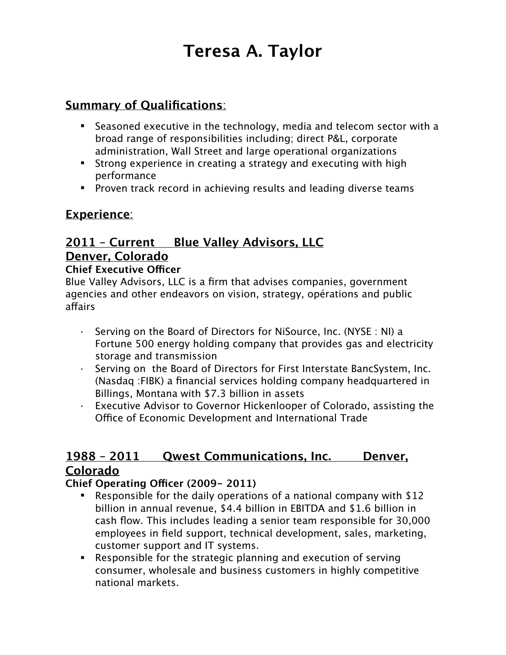# **Teresa A. Taylor**

# **Summary of Qualifications**:

- Seasoned executive in the technology, media and telecom sector with a broad range of responsibilities including; direct P&L, corporate administration, Wall Street and large operational organizations
- Strong experience in creating a strategy and executing with high performance
- **Proven track record in achieving results and leading diverse teams**

# **Experience**:

# **2011 – Current Blue Valley Advisors, LLC Denver, Colorado**

#### **Chief Executive Officer**

Blue Valley Advisors, LLC is a firm that advises companies, government agencies and other endeavors on vision, strategy, opérations and public affairs

- Serving on the Board of Directors for NiSource, Inc. (NYSE : NI) a Fortune 500 energy holding company that provides gas and electricity storage and transmission
- Serving on the Board of Directors for First Interstate BancSystem, Inc. (Nasdaq :FIBK) a financial services holding company headquartered in Billings, Montana with \$7.3 billion in assets
- · Executive Advisor to Governor Hickenlooper of Colorado, assisting the Office of Economic Development and International Trade

## **1988 – 2011 Qwest Communications, Inc. Denver, Colorado**

### **Chief Operating Ofcer (2009- 2011)**

- Responsible for the daily operations of a national company with \$12 billion in annual revenue, \$4.4 billion in EBITDA and \$1.6 billion in cash flow. This includes leading a senior team responsible for 30,000 employees in field support, technical development, sales, marketing, customer support and IT systems.
- Responsible for the strategic planning and execution of serving consumer, wholesale and business customers in highly competitive national markets.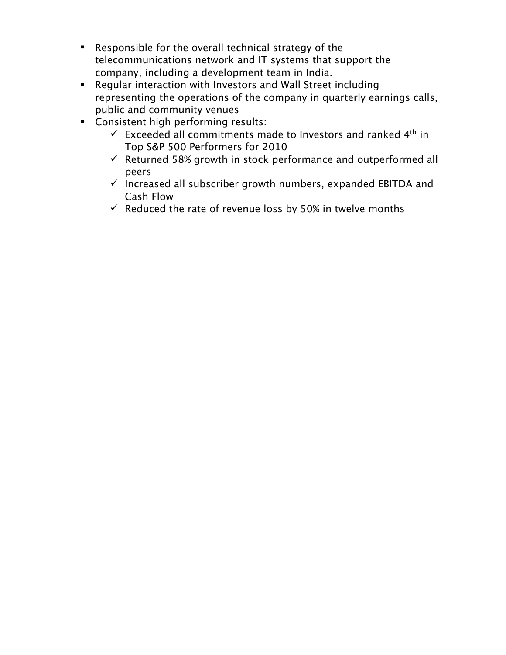- Responsible for the overall technical strategy of the telecommunications network and IT systems that support the company, including a development team in India.
- Regular interaction with Investors and Wall Street including representing the operations of the company in quarterly earnings calls, public and community venues
- Consistent high performing results:
	- $\checkmark$  Exceeded all commitments made to Investors and ranked 4<sup>th</sup> in Top S&P 500 Performers for 2010
	- $\checkmark$  Returned 58% growth in stock performance and outperformed all peers
	- $\checkmark$  Increased all subscriber growth numbers, expanded EBITDA and Cash Flow
	- $\checkmark$  Reduced the rate of revenue loss by 50% in twelve months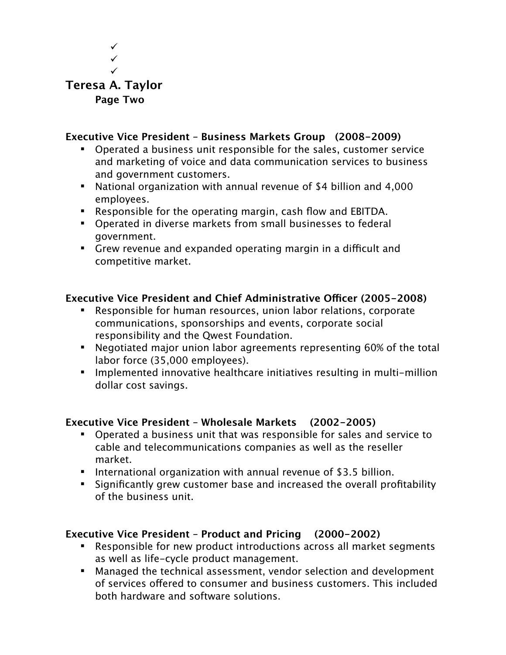

#### **Executive Vice President – Business Markets Group (2008-2009)**

- Operated a business unit responsible for the sales, customer service and marketing of voice and data communication services to business and government customers.
- National organization with annual revenue of \$4 billion and 4,000 employees.
- Responsible for the operating margin, cash flow and EBITDA.
- Operated in diverse markets from small businesses to federal government.
- **EXTER** Grew revenue and expanded operating margin in a difficult and competitive market.

#### **Executive Vice President and Chief Administrative Ofcer (2005-2008)**

- Responsible for human resources, union labor relations, corporate communications, sponsorships and events, corporate social responsibility and the Qwest Foundation.
- Negotiated major union labor agreements representing 60% of the total labor force (35,000 employees).
- Implemented innovative healthcare initiatives resulting in multi-million dollar cost savings.

#### **Executive Vice President – Wholesale Markets (2002-2005)**

- Operated a business unit that was responsible for sales and service to cable and telecommunications companies as well as the reseller market.
- **IF** International organization with annual revenue of \$3.5 billion.
- Significantly grew customer base and increased the overall profitability of the business unit.

#### **Executive Vice President – Product and Pricing (2000-2002)**

- Responsible for new product introductions across all market segments as well as life-cycle product management.
- Managed the technical assessment, vendor selection and development of services ofered to consumer and business customers. This included both hardware and software solutions.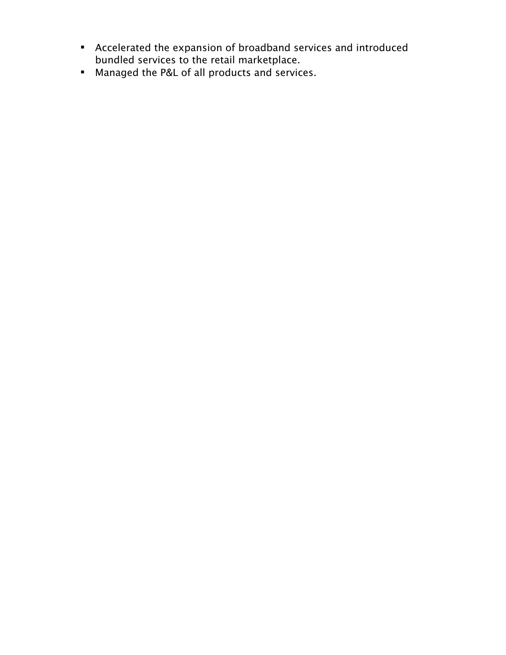- Accelerated the expansion of broadband services and introduced bundled services to the retail marketplace.
- Managed the P&L of all products and services.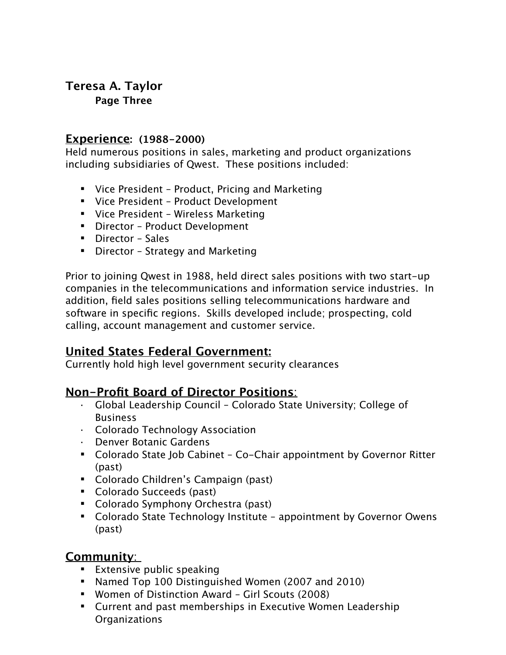# **Teresa A. Taylor**

**Page Three**

### **Experience: (1988-2000)**

Held numerous positions in sales, marketing and product organizations including subsidiaries of Qwest. These positions included:

- Vice President Product, Pricing and Marketing
- Vice President Product Development
- Vice President Wireless Marketing
- Director Product Development
- **•** Director Sales
- Director Strategy and Marketing

Prior to joining Qwest in 1988, held direct sales positions with two start-up companies in the telecommunications and information service industries. In addition, field sales positions selling telecommunications hardware and software in specific regions. Skills developed include; prospecting, cold calling, account management and customer service.

# **United States Federal Government:**

Currently hold high level government security clearances

# **Non-Profit Board of Director Positions**:

- · Global Leadership Council Colorado State University; College of Business
- · Colorado Technology Association
- · Denver Botanic Gardens
- Colorado State Job Cabinet Co-Chair appointment by Governor Ritter (past)
- Colorado Children's Campaign (past)
- Colorado Succeeds (past)
- Colorado Symphony Orchestra (past)
- Colorado State Technology Institute appointment by Governor Owens (past)

## **Community**:

- **Extensive public speaking**
- Named Top 100 Distinguished Women (2007 and 2010)
- Women of Distinction Award Girl Scouts (2008)
- Current and past memberships in Executive Women Leadership **Organizations**